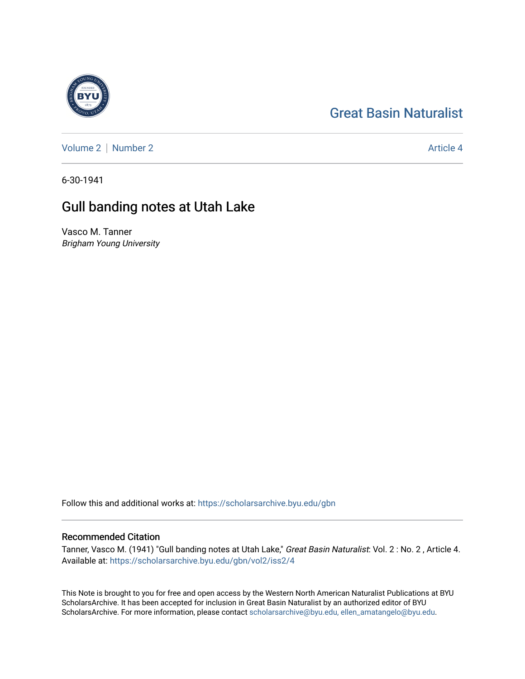## [Great Basin Naturalist](https://scholarsarchive.byu.edu/gbn)



[Volume 2](https://scholarsarchive.byu.edu/gbn/vol2) | [Number 2](https://scholarsarchive.byu.edu/gbn/vol2/iss2) Article 4

6-30-1941

## Gull banding notes at Utah Lake

Vasco M. Tanner Brigham Young University

Follow this and additional works at: [https://scholarsarchive.byu.edu/gbn](https://scholarsarchive.byu.edu/gbn?utm_source=scholarsarchive.byu.edu%2Fgbn%2Fvol2%2Fiss2%2F4&utm_medium=PDF&utm_campaign=PDFCoverPages) 

## Recommended Citation

Tanner, Vasco M. (1941) "Gull banding notes at Utah Lake," Great Basin Naturalist: Vol. 2: No. 2, Article 4. Available at: [https://scholarsarchive.byu.edu/gbn/vol2/iss2/4](https://scholarsarchive.byu.edu/gbn/vol2/iss2/4?utm_source=scholarsarchive.byu.edu%2Fgbn%2Fvol2%2Fiss2%2F4&utm_medium=PDF&utm_campaign=PDFCoverPages) 

This Note is brought to you for free and open access by the Western North American Naturalist Publications at BYU ScholarsArchive. It has been accepted for inclusion in Great Basin Naturalist by an authorized editor of BYU ScholarsArchive. For more information, please contact [scholarsarchive@byu.edu, ellen\\_amatangelo@byu.edu.](mailto:scholarsarchive@byu.edu,%20ellen_amatangelo@byu.edu)